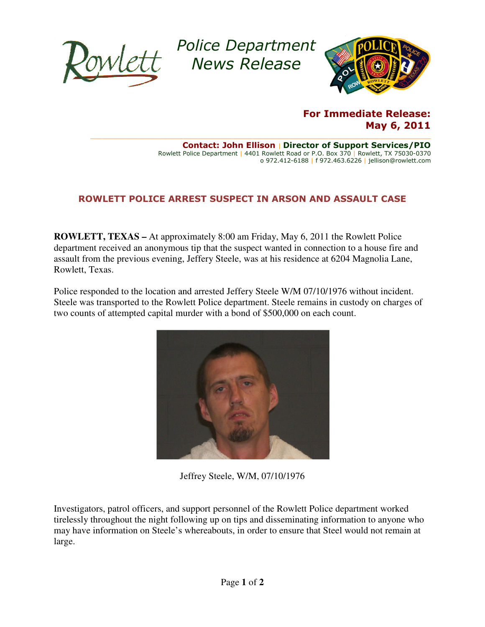

Police Department Police News Release



## For Immediate Release: May 6, 2011

 $\_$  , and the state of the state of the state of the state of the state of the state of the state of the state of the state of the state of the state of the state of the state of the state of the state of the state of the Rowlett Police Department | 4401 Rowlett Road or P.O. Box 370 | Rowlett, TX 75030-0370 Contact: John Ellison | Director of Support Services/PIO o 972.412-6188 | f 972.463.6226 | jellison@rowlett.com

## ROWLETT POLICE ARREST SUSPECT IN ARSON AND ASSAULT CASE

**ROWLETT, TEXAS –** At approximately 8:00 am Friday, May 6, 2011 the Rowlett Police department received an anonymous tip that the suspect wanted in connection to a house fire and assault from the previous evening, Jeffery Steele, was at his residence Rowlett, Texas. **F, TEXAS** – At approximately 8:00 am Friday, May 6, 2011 the Rowlett Police received an anonymous tip that the suspect wanted in connection to a house fire and the previous evening, Jeffery Steele, was at his residence at

Police responded to the location and arrested Jeffery Steele W/M 07/10/1976 without incident. Steele was transported to the Rowlett Police department. Steele remains in custody on charges of Steele was transported to the Rowlett Police department. Steele remains in custo two counts of attempted capital murder with a bond of \$500,000 on each count.



Jeffrey Steele, W/M, 07/10/1976

Jeffrey Steele, W/M, 07/10/1976<br>Investigators, patrol officers, and support personnel of the Rowlett Police department worked tirelessly throughout the night following up on tips and dissemina disseminating information to anyone who may have information on Steele's whereabouts, in order to ensure that Steel would not remain at large.